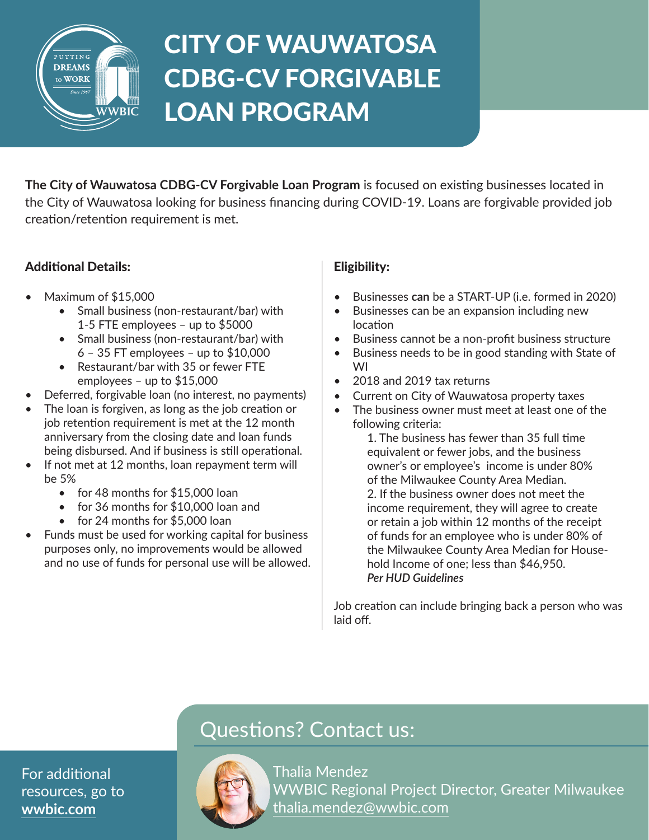

*Education • Lending • Coaching*

# CITY OF WAUWATOSA CDBG-CV FORGIVABLE LOAN PROGRAM

**The City of Wauwatosa CDBG-CV Forgivable Loan Program** is focused on existing businesses located in the City of Wauwatosa looking for business financing during COVID-19. Loans are forgivable provided job creation/retention requirement is met.

### Additional Details:

- Maximum of \$15,000
	- Small business (non-restaurant/bar) with 1-5 FTE employees – up to \$5000
	- Small business (non-restaurant/bar) with 6 – 35 FT employees – up to \$10,000
	- Restaurant/bar with 35 or fewer FTE employees – up to \$15,000
- Deferred, forgivable loan (no interest, no payments)
- The loan is forgiven, as long as the job creation or job retention requirement is met at the 12 month anniversary from the closing date and loan funds being disbursed. And if business is still operational.
- If not met at 12 months, loan repayment term will be 5%
	- for 48 months for \$15,000 loan
	- for 36 months for \$10,000 loan and
	- for 24 months for \$5,000 loan
- Funds must be used for working capital for business purposes only, no improvements would be allowed and no use of funds for personal use will be allowed.

### Eligibility:

- Businesses **can** be a START-UP (i.e. formed in 2020)
- Businesses can be an expansion including new location
- Business cannot be a non-profit business structure
- Business needs to be in good standing with State of WI
- 2018 and 2019 tax returns
- Current on City of Wauwatosa property taxes
- The business owner must meet at least one of the following criteria:

1. The business has fewer than 35 full time equivalent or fewer jobs, and the business owner's or employee's income is under 80% of the Milwaukee County Area Median. 2. If the business owner does not meet the income requirement, they will agree to create or retain a job within 12 months of the receipt of funds for an employee who is under 80% of the Milwaukee County Area Median for Household Income of one; less than \$46,950. *Per HUD Guidelines* 

Job creation can include bringing back a person who was laid off.

## Questions? Contact us:

Thalia Mendez WWBIC Regional Project Director, Greater Milwaukee thalia.mendez@wwbic.com

For additional resources, go to **[wwbic.com](https://www.wwbic.com/)**